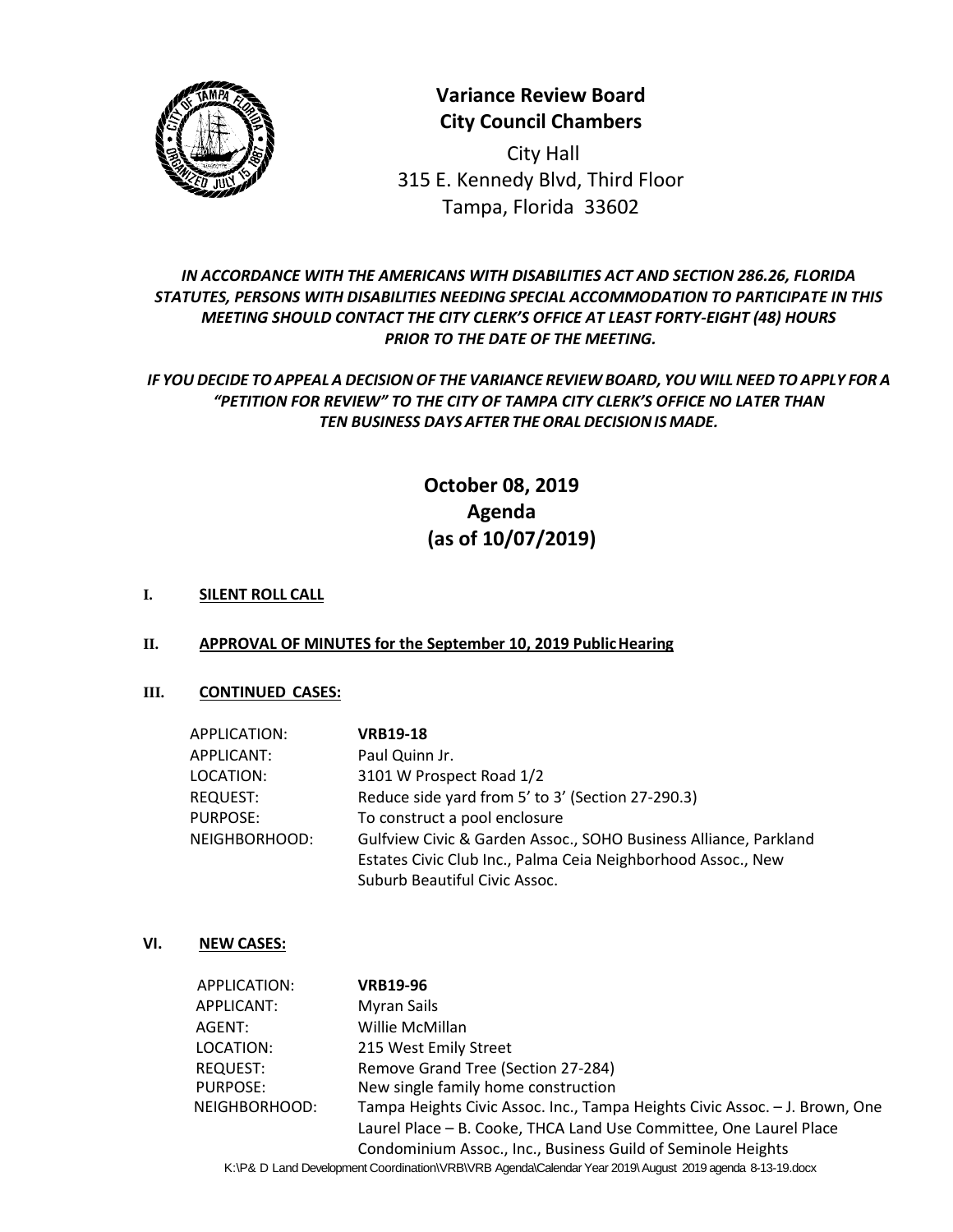

**Variance Review Board City Council Chambers**

City Hall 315 E. Kennedy Blvd, Third Floor Tampa, Florida 33602

# *IN ACCORDANCE WITH THE AMERICANS WITH DISABILITIES ACT AND SECTION 286.26, FLORIDA STATUTES, PERSONS WITH DISABILITIES NEEDING SPECIAL ACCOMMODATION TO PARTICIPATE IN THIS MEETING SHOULD CONTACT THE CITY CLERK'S OFFICE AT LEAST FORTY-EIGHT (48) HOURS PRIOR TO THE DATE OF THE MEETING.*

# *IF YOUDECIDE TOAPPEAL A DECISION OF THE VARIANCE REVIEW BOARD, YOU WILLNEED TO APPLY FOR A "PETITION FOR REVIEW" TO THE CITY OF TAMPA CITY CLERK'S OFFICE NO LATER THAN TEN BUSINESS DAYS AFTER THEORALDECISIONIS MADE.*

# **October 08, 2019 Agenda (as of 10/07/2019)**

## **I. SILENT ROLL CALL**

### **II. APPROVAL OF MINUTES for the September 10, 2019 PublicHearing**

### **III. CONTINUED CASES:**

| APPLICATION:    | <b>VRB19-18</b>                                                  |
|-----------------|------------------------------------------------------------------|
| APPLICANT:      | Paul Quinn Jr.                                                   |
| LOCATION:       | 3101 W Prospect Road 1/2                                         |
| <b>REQUEST:</b> | Reduce side yard from 5' to 3' (Section 27-290.3)                |
| PURPOSE:        | To construct a pool enclosure                                    |
| NEIGHBORHOOD:   | Gulfview Civic & Garden Assoc., SOHO Business Alliance, Parkland |
|                 | Estates Civic Club Inc., Palma Ceia Neighborhood Assoc., New     |
|                 | Suburb Beautiful Civic Assoc.                                    |

### **VI. NEW CASES:**

| APPLICATION:    | <b>VRB19-96</b>                                                                                          |
|-----------------|----------------------------------------------------------------------------------------------------------|
| APPLICANT:      | Myran Sails                                                                                              |
| AGENT:          | Willie McMillan                                                                                          |
| LOCATION:       | 215 West Emily Street                                                                                    |
| <b>REQUEST:</b> | Remove Grand Tree (Section 27-284)                                                                       |
| PURPOSE:        | New single family home construction                                                                      |
| NEIGHBORHOOD:   | Tampa Heights Civic Assoc. Inc., Tampa Heights Civic Assoc. - J. Brown, One                              |
|                 | Laurel Place - B. Cooke, THCA Land Use Committee, One Laurel Place                                       |
|                 | Condominium Assoc., Inc., Business Guild of Seminole Heights                                             |
|                 | K:\P& D Land Development Coordination\VRB\VRB Agenda\Calendar Year 2019\ August 2019 agenda 8-13-19.docx |